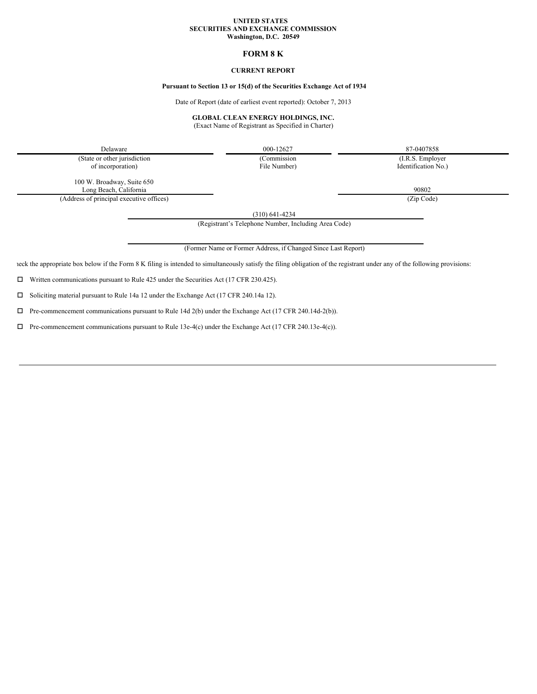#### **UNITED STATES SECURITIES AND EXCHANGE COMMISSION Washington, D.C. 20549**

# **FORM 8 K**

## **CURRENT REPORT**

# **Pursuant to Section 13 or 15(d) of the Securities Exchange Act of 1934**

Date of Report (date of earliest event reported): October 7, 2013

#### **GLOBAL CLEAN ENERGY HOLDINGS, INC.**

(Exact Name of Registrant as Specified in Charter)

Delaware 87-0407858 (State or other jurisdiction (Commission (Commission (I.R.S. Employer

of incorporation) File Number) Identification No.)

100 W. Broadway, Suite 650 Long Beach, California 90802

(Address of principal executive offices) (Zip Code)

(310) 641-4234

(Registrant's Telephone Number, Including Area Code)

(Former Name or Former Address, if Changed Since Last Report)

leck the appropriate box below if the Form 8 K filing is intended to simultaneously satisfy the filing obligation of the registrant under any of the following provisions:

 $\square$  Written communications pursuant to Rule 425 under the Securities Act (17 CFR 230.425).

 $\square$  Soliciting material pursuant to Rule 14a 12 under the Exchange Act (17 CFR 240.14a 12).

 $\Box$  Pre-commencement communications pursuant to Rule 14d 2(b) under the Exchange Act (17 CFR 240.14d-2(b)).

 $\Box$  Pre-commencement communications pursuant to Rule 13e-4(c) under the Exchange Act (17 CFR 240.13e-4(c)).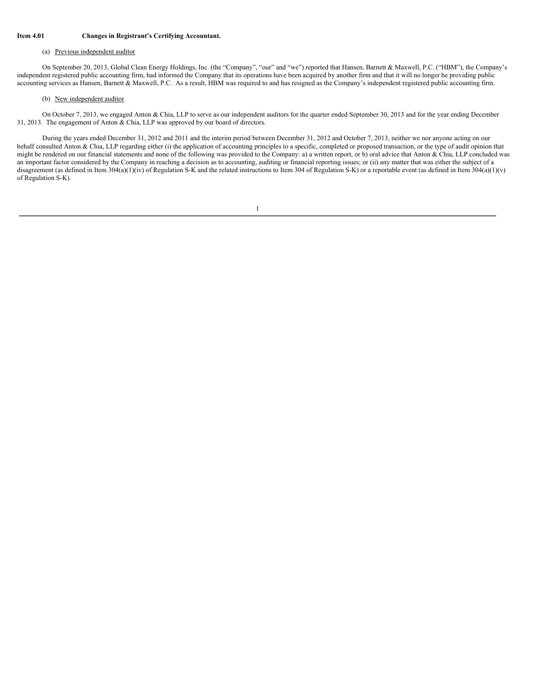### **Item 4.01 Changes in Registrant's Certifying Accountant.**

#### (a) Previous independent auditor

On September 20, 2013, Global Clean Energy Holdings, Inc. (the "Company", "our" and "we") reported that Hansen, Barnett & Maxwell, P.C. ("HBM"), the Company's independent registered public accounting firm, had informed the Company that its operations have been acquired by another firm and that it will no longer be providing public accounting services as Hansen, Barnett & Maxwell, P.C. As a result, HBM was required to and has resigned as the Company's independent registered public accounting firm.

#### (b) New independent auditor

On October 7, 2013, we engaged Anton & Chia, LLP to serve as our independent auditors for the quarter ended September 30, 2013 and for the year ending December 31, 2013. The engagement of Anton & Chia, LLP was approved by our board of directors.

During the years ended December 31, 2012 and 2011 and the interim period between December 31, 2012 and October 7, 2013, neither we nor anyone acting on our behalf consulted Anton & Chia, LLP regarding either (i) the application of accounting principles to a specific, completed or proposed transaction, or the type of audit opinion that might be rendered on our financial statements and none of the following was provided to the Company: a) a written report, or b) oral advice that Anton & Chia, LLP concluded was an important factor considered by the Company in reaching a decision as to accounting, auditing or financial reporting issues; or (ii) any matter that was either the subject of a disagreement (as defined in Item 304(a)(1)(iv) of Regulation S-K and the related instructions to Item 304 of Regulation S-K) or a reportable event (as defined in Item 304(a)(1)(v) of Regulation S-K).